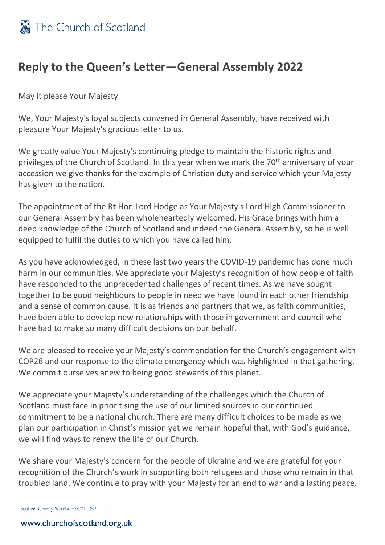

## **Reply to the Queen's Letter—General Assembly 2022**

May it please Your Majesty

We, Your Majesty's loyal subjects convened in General Assembly, have received with pleasure Your Majesty's gracious letter to us.

We greatly value Your Majesty's continuing pledge to maintain the historic rights and privileges of the Church of Scotland. In this year when we mark the 70<sup>th</sup> anniversary of your accession we give thanks for the example of Christian duty and service which your Majesty has given to the nation.

The appointment of the Rt Hon Lord Hodge as Your Majesty's Lord High Commissioner to our General Assembly has been wholeheartedly welcomed. His Grace brings with him a deep knowledge of the Church of Scotland and indeed the General Assembly, so he is well equipped to fulfil the duties to which you have called him.

As you have acknowledged, in these last two years the COVID-19 pandemic has done much harm in our communities. We appreciate your Majesty's recognition of how people of faith have responded to the unprecedented challenges of recent times. As we have sought together to be good neighbours to people in need we have found in each other friendship and a sense of common cause. It is as friends and partners that we, as faith communities, have been able to develop new relationships with those in government and council who have had to make so many difficult decisions on our behalf.

We are pleased to receive your Majesty's commendation for the Church's engagement with COP26 and our response to the climate emergency which was highlighted in that gathering. We commit ourselves anew to being good stewards of this planet.

We appreciate your Majesty's understanding of the challenges which the Church of Scotland must face in prioritising the use of our limited sources in our continued commitment to be a national church. There are many difficult choices to be made as we plan our participation in Christ's mission yet we remain hopeful that, with God's guidance, we will find ways to renew the life of our Church.

We share your Majesty's concern for the people of Ukraine and we are grateful for your recognition of the Church's work in supporting both refugees and those who remain in that troubled land. We continue to pray with your Majesty for an end to war and a lasting peace.

Scottish Charity Number: SC011353